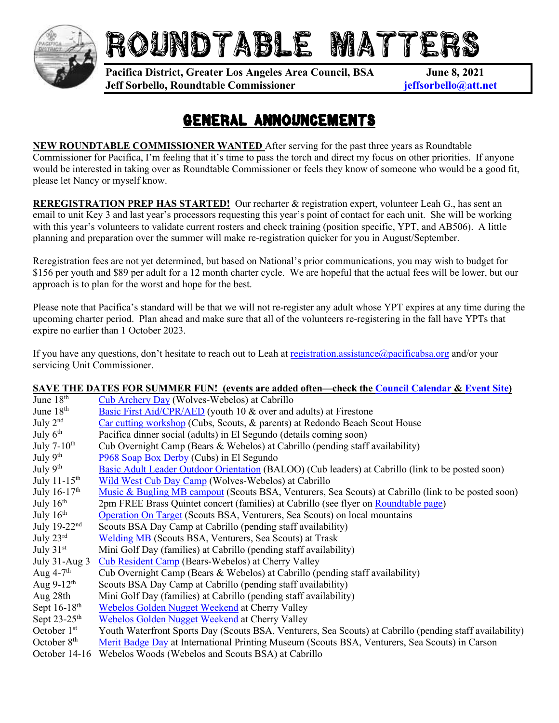

## ROUNDTABLE MATTE

**Pacifica District, Greater Los Angeles Area Council, BSA June 8, 2021 Jeff Sorbello, Roundtable Commissioner jeffsorbello@att.net**

## GENERAL ANNOUNCEMENTS

**NEW ROUNDTABLE COMMISSIONER WANTED** After serving for the past three years as Roundtable Commissioner for Pacifica, I'm feeling that it's time to pass the torch and direct my focus on other priorities. If anyone would be interested in taking over as Roundtable Commissioner or feels they know of someone who would be a good fit, please let Nancy or myself know.

**REREGISTRATION PREP HAS STARTED!** Our recharter & registration expert, volunteer Leah G., has sent an email to unit Key 3 and last year's processors requesting this year's point of contact for each unit. She will be working with this year's volunteers to validate current rosters and check training (position specific, YPT, and AB506). A little planning and preparation over the summer will make re-registration quicker for you in August/September.

Reregistration fees are not yet determined, but based on National's prior communications, you may wish to budget for \$156 per youth and \$89 per adult for a 12 month charter cycle. We are hopeful that the actual fees will be lower, but our approach is to plan for the worst and hope for the best.

Please note that Pacifica's standard will be that we will not re-register any adult whose YPT expires at any time during the upcoming charter period. Plan ahead and make sure that all of the volunteers re-registering in the fall have YPTs that expire no earlier than 1 October 2023.

If you have any questions, don't hesitate to reach out to Leah at [registration.assistance@pacificabsa.org](mailto:registration.assistance@pacificabsa.org) and/or your servicing Unit Commissioner.

## **SAVE THE DATES FOR SUMMER FUN! (events are added often—check the [Council Calendar](https://www.glaacbsa.org/calendar) & [Event Site\)](https://scoutingevent.com/033)**

| June 18 <sup>th</sup>      | <b>Cub Archery Day (Wolves-Webelos) at Cabrillo</b>                                                      |
|----------------------------|----------------------------------------------------------------------------------------------------------|
| June $18th$                | Basic First Aid/CPR/AED (youth 10 & over and adults) at Firestone                                        |
| July $2nd$                 | Car cutting workshop (Cubs, Scouts, & parents) at Redondo Beach Scout House                              |
| July $6th$                 | Pacifica dinner social (adults) in El Segundo (details coming soon)                                      |
| July $7-10th$              | Cub Overnight Camp (Bears & Webelos) at Cabrillo (pending staff availability)                            |
| July 9th                   | P968 Soap Box Derby (Cubs) in El Segundo                                                                 |
| July $9th$                 | Basic Adult Leader Outdoor Orientation (BALOO) (Cub leaders) at Cabrillo (link to be posted soon)        |
| July $11-15$ <sup>th</sup> | Wild West Cub Day Camp (Wolves-Webelos) at Cabrillo                                                      |
| July $16-17^{\text{th}}$   | Music & Bugling MB campout (Scouts BSA, Venturers, Sea Scouts) at Cabrillo (link to be posted soon)      |
| July $16th$                | 2pm FREE Brass Quintet concert (families) at Cabrillo (see flyer on Roundtable page)                     |
| July $16th$                | Operation On Target (Scouts BSA, Venturers, Sea Scouts) on local mountains                               |
| July $19-22nd$             | Scouts BSA Day Camp at Cabrillo (pending staff availability)                                             |
| July $23^{\text{rd}}$      | <b>Welding MB</b> (Scouts BSA, Venturers, Sea Scouts) at Trask                                           |
| July $31st$                | Mini Golf Day (families) at Cabrillo (pending staff availability)                                        |
| July $31$ -Aug $3$         | Cub Resident Camp (Bears-Webelos) at Cherry Valley                                                       |
| Aug $4-7$ <sup>th</sup>    | Cub Overnight Camp (Bears & Webelos) at Cabrillo (pending staff availability)                            |
| Aug $9-12^{\text{th}}$     | Scouts BSA Day Camp at Cabrillo (pending staff availability)                                             |
| Aug 28th                   | Mini Golf Day (families) at Cabrillo (pending staff availability)                                        |
| Sept $16-18$ <sup>th</sup> | Webelos Golden Nugget Weekend at Cherry Valley                                                           |
| Sept $23-25$ <sup>th</sup> | Webelos Golden Nugget Weekend at Cherry Valley                                                           |
| October $1st$              | Youth Waterfront Sports Day (Scouts BSA, Venturers, Sea Scouts) at Cabrillo (pending staff availability) |
| October $8th$              | Merit Badge Day at International Printing Museum (Scouts BSA, Venturers, Sea Scouts) in Carson           |
|                            |                                                                                                          |

October 14-16 Webelos Woods (Webelos and Scouts BSA) at Cabrillo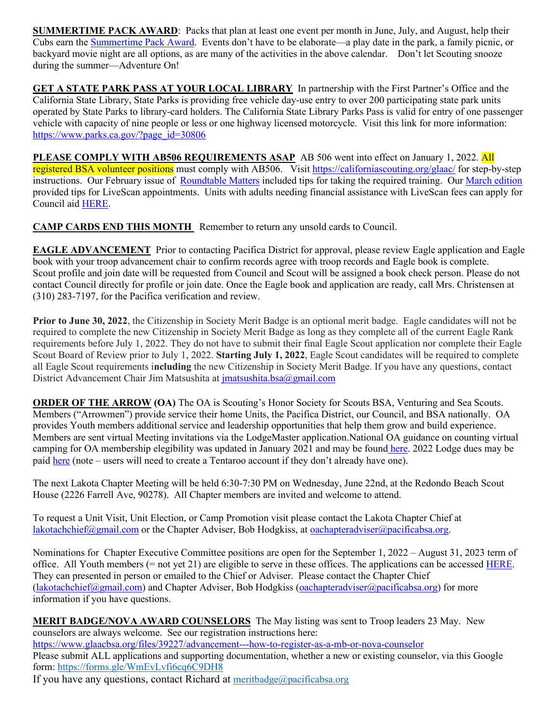**SUMMERTIME PACK AWARD:** Packs that plan at least one event per month in June, July, and August, help their Cubs earn the [Summertime Pack Award.](https://filestore.scouting.org/filestore/pdf/33748.pdf) Events don't have to be elaborate—a play date in the park, a family picnic, or backyard movie night are all options, as are many of the activities in the above calendar. Don't let Scouting snooze during the summer—Adventure On!

**GET A STATE PARK PASS AT YOUR LOCAL LIBRARY** In partnership with the First Partner's Office and the California State Library, State Parks is providing free vehicle day-use entry to over 200 participating state park units operated by State Parks to library-card holders. The California State Library Parks Pass is valid for entry of one passenger vehicle with capacity of nine people or less or one highway licensed motorcycle. Visit this link for more information: [https://www.parks.ca.gov/?page\\_id=30806](https://www.parks.ca.gov/?page_id=30806)

**PLEASE COMPLY WITH AB506 REQUIREMENTS ASAP** AB 506 went into effect on January 1, 2022. All registered BSA volunteer positions must comply with AB506. Visit<https://californiascouting.org/glaac/> for step-by-step instructions. Our February issue of [Roundtable Matters](https://www.glaacbsa.org/files/41148/2022-02---roundtable-matters) included tips for taking the required training. Our [March edition](https://www.glaacbsa.org/files/41688/roundtable-matters-2022-03) provided tips for LiveScan appointments. Units with adults needing financial assistance with LiveScan fees can apply for Council aid [HERE.](https://www.glaacbsa.org/livescanscholarship)

**CAMP CARDS END THIS MONTH** Remember to return any unsold cards to Council.

**EAGLE ADVANCEMENT** Prior to contacting Pacifica District for approval, please review Eagle application and Eagle book with your troop advancement chair to confirm records agree with troop records and Eagle book is complete. Scout profile and join date will be requested from Council and Scout will be assigned a book check person. Please do not contact Council directly for profile or join date. Once the Eagle book and application are ready, call Mrs. Christensen at (310) 283-7197, for the Pacifica verification and review.

**Prior to June 30, 2022**, the Citizenship in Society Merit Badge is an optional merit badge. Eagle candidates will not be required to complete the new Citizenship in Society Merit Badge as long as they complete all of the current Eagle Rank requirements before July 1, 2022. They do not have to submit their final Eagle Scout application nor complete their Eagle Scout Board of Review prior to July 1, 2022. **Starting July 1, 2022**, Eagle Scout candidates will be required to complete all Eagle Scout requirements i**ncluding** the new Citizenship in Society Merit Badge. If you have any questions, contact District Advancement Chair Jim Matsushita at [jmatsushita.bsa@gmail.com](mailto:jmatsushita.bsa@gmail.com)

**ORDER OF THE ARROW (OA) The OA is Scouting's Honor Society for Scouts BSA, Venturing and Sea Scouts.** Members ("Arrowmen") provide service their home Units, the Pacifica District, our Council, and BSA nationally. OA provides Youth members additional service and leadership opportunities that help them grow and build experience. Members are sent virtual Meeting invitations via the LodgeMaster application.National OA guidance on counting virtual camping for OA membership elegibility was updated in January 2021 and may be found [here.](https://oa-bsa.org/article/oa-temporary-camping-requirement-changes) 2022 Lodge dues may be pai[d here](https://www.glaacbsa.org/admin2/login) (note – users will need to create a Tentaroo account if they don't already have one).

The next Lakota Chapter Meeting will be held 6:30-7:30 PM on Wednesday, June 22nd, at the Redondo Beach Scout House (2226 Farrell Ave, 90278). All Chapter members are invited and welcome to attend.

To request a Unit Visit, Unit Election, or Camp Promotion visit please contact the Lakota Chapter Chief at [lakotachchief@gmail.com](mailto:lakotachchief@gmail.com) or the Chapter Adviser, Bob Hodgkiss, a[t oachapteradviser@pacificabsa.org.](mailto:oachapteradviser@pacificabsa.org)

Nominations for Chapter Executive Committee positions are open for the September 1, 2022 – August 31, 2023 term of office. All Youth members (= not yet 21) are eligible to serve in these offices. The applications can be accessed [HERE.](https://u5354241.ct.sendgrid.net/ls/click?upn=0YlUef6ScEuFGXvSWVsPIsnNWPB7iRUx62zNEMMAMLB-2Fl3FznOM1hmoG7XXyuiZLseEq854suJGB5eA062fV1xHqShJxCle41JtvHLZtjwAzA-2FYv0jM03tKsCYztB-2B5uTWtV_mRNboUws3-2FNK04kpN-2Btvlnp6GnsxPXob3AYZMM7078nc6EE5XngqEabSjvPyxmmqTTjrTApw9-2F737RfZuG25Hbd06m1lSsOSillIPHzq-2BcqkAgwcfF1xvL-2FCwM-2FGAMqZylfcJBjt5AOd-2B1tbGnC4HTl-2BuRydGI54q9Qh86CRsg9eqLya5Wb-2B7AV3Ux2CBG0C1-2B2bUuZjUGLN08h4uYgabiJO02MbHVkxSO7IneD-2FBppAXWU2PxTlizBiD906WhmDzCXoGKvEqBpW6qzbDE8cj4BVU288zM9WwZ2SikE4rYAm944Rz4sRDNil-2BxSfQXzmyUVA01QbPI2Hesf7Ydq4O4OsYQ2znzNV4ORN6gTM4qac54VIIkFhJYOemAviRtTy-2FpPBNw52WYBQOrJwEKwGGb6JFbZBYC6URPoX90UcH2-2B8u1fLqQz-2B06vsVq9ZN9IQ8xy7VzmikanFsBMQeLw8Ho6hHrChq0TmZJp4GwWNKj5U5ammHWCPIoFcE0S-2FXPUh) They can presented in person or emailed to the Chief or Adviser. Please contact the Chapter Chief [\(lakotachchief@gmail.com\)](mailto:lakotachchief@gmail.com) and Chapter Adviser, Bob Hodgkiss [\(oachapteradviser@pacificabsa.org\)](mailto:oachapteradviser@pacificabsa.org) for more information if you have questions.

**MERIT BADGE/NOVA AWARD COUNSELORS** The May listing was sent to Troop leaders 23 May. New counselors are always welcome. See our registration instructions here: <https://www.glaacbsa.org/files/39227/advancement---how-to-register-as-a-mb-or-nova-counselor> Please submit ALL applications and supporting documentation, whether a new or existing counselor, via this Google form: <https://forms.gle/WmEvLvfi6cq6C9DH8>

If you have any questions, contact Richard at [meritbadge@pacificabsa.org](mailto:meritbadge@pacificabsa.org)